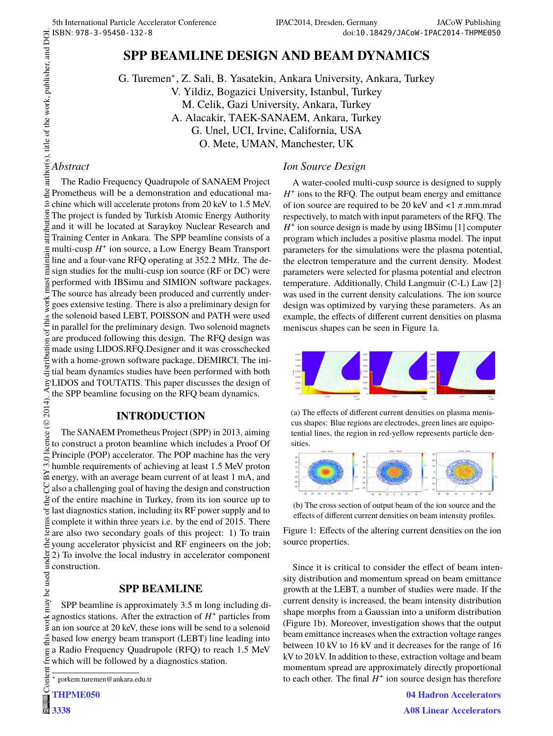# **SPP BEAMLINE DESIGN AND BEAM DYNAMICS**

G. Turemen<sup>∗</sup> , Z. Sali, B. Yasatekin, Ankara University, Ankara, Turkey V. Yildiz, Bogazici University, Istanbul, Turkey M. Celik, Gazi University, Ankara, Turkey A. Alacakir, TAEK-SANAEM, Ankara, Turkey G. Unel, UCI, Irvine, California, USA O. Mete, UMAN, Manchester, UK

### *Abstract*

author(s), title of the work, publisher, and DOI.  $\circ$  2014). Any distribution of this work must maintain attribution to the author(s), title of the work, publisher, and DOI. The Radio Frequency Quadrupole of SANAEM Project Prometheus will be a demonstration and educational ma- $\Omega$  chine which will accelerate protons from 20 keV to 1.5 MeV. ibution The project is funded by Turkish Atomic Energy Authority and it will be located at Saraykoy Nuclear Research and Ë Training Center in Ankara. The SPP beamline consists of a multi-cusp *H* + ion source, a Low Energy Beam Transport maintain line and a four-vane RFQ operating at 352.2 MHz. The design studies for the multi-cusp ion source (RF or DC) were must performed with IBSimu and SIMION software packages. The source has already been produced and currently underwork goes extensive testing. There is also a preliminary design for the solenoid based LEBT, POISSON and PATH were used in parallel for the preliminary design. Two solenoid magnets are produced following this design. The RFQ design was distribution made using LIDOS.RFQ.Designer and it was crosschecked with a home-grown software package, DEMIRCI. The initial beam dynamics studies have been performed with both ELIDOS and TOUTATIS. This paper discusses the design of the SPP beamline focusing on the RFQ beam dynamics.

# **INTRODUCTION**

licence ( $\odot$  2014). Content from this work may be used under the terms of the CC BY 3.0 licence ( $\epsilon$ The SANAEM Prometheus Project (SPP) in 2013, aiming to construct a proton beamline which includes a Proof Of Principle (POP) accelerator. The POP machine has the very  $-3.01$ humble requirements of achieving at least 1.5 MeV proton  $\approx$  energy, with an average beam current of at least 1 mA, and also a challenging goal of having the design and construction  $\frac{9}{2}$  of the entire machine in Turkey, from its ion source up to last diagnostics station, including its RF power supply and to ã complete it within three years i.e. by the end of 2015. There ίēπ are also two secondary goals of this project: 1) To train  $\frac{1}{2}$ young accelerator physicist and RF engineers on the job; 2) To involve the local industry in accelerator component construction. used

# **SPP BEAMLINE**

SPP beamline is approximately 3.5 m long including diagnostics stations. After the extraction of  $H^+$  particles from an ion source at 20 keV, these ions will be send to a solenoid based low energy beam transport (LEBT) line leading into from ( a Radio Frequency Quadrupole (RFQ) to reach 1.5 MeV which will be followed by a diagnostics station.

```
Conten
THPME050
```
ತಿ

# *Ion Source Design*

A water-cooled multi-cusp source is designed to supply *H* + ions to the RFQ. The output beam energy and emittance of ion source are required to be 20 keV and <1  $\pi$ .mm.mrad respectively, to match with input parameters of the RFQ. The *H*<sup>+</sup> ion source design is made by using IBSimu [1] computer program which includes a positive plasma model. The input parameters for the simulations were the plasma potential, the electron temperature and the current density. Modest parameters were selected for plasma potential and electron temperature. Additionally, Child Langmuir (C-L) Law [2] was used in the current density calculations. The ion source design was optimized by varying these parameters. As an example, the effects of different current densities on plasma meniscus shapes can be seen in Figure 1a.



(a) The effects of different current densities on plasma meniscus shapes: Blue regions are electrodes, green lines are equipotential lines, the region in red-yellow represents particle densities.





Figure 1: Effects of the altering current densities on the ion source properties.

Since it is critical to consider the effect of beam intensity distribution and momentum spread on beam emittance growth at the LEBT, a number of studies were made. If the current density is increased, the beam intensity distribution shape morphs from a Gaussian into a uniform distribution (Figure 1b). Moreover, investigation shows that the output beam emittance increases when the extraction voltage ranges between 10 kV to 16 kV and it decreases for the range of 16 kV to 20 kV. In addition to these, extraction voltage and beam momentum spread are approximately directly proportional to each other. The final  $H^+$  ion source design has therefore

> **04 Hadron Accelerators A08 Linear Accelerators**

<sup>∗</sup> gorkem.turemen@ankara.edu.tr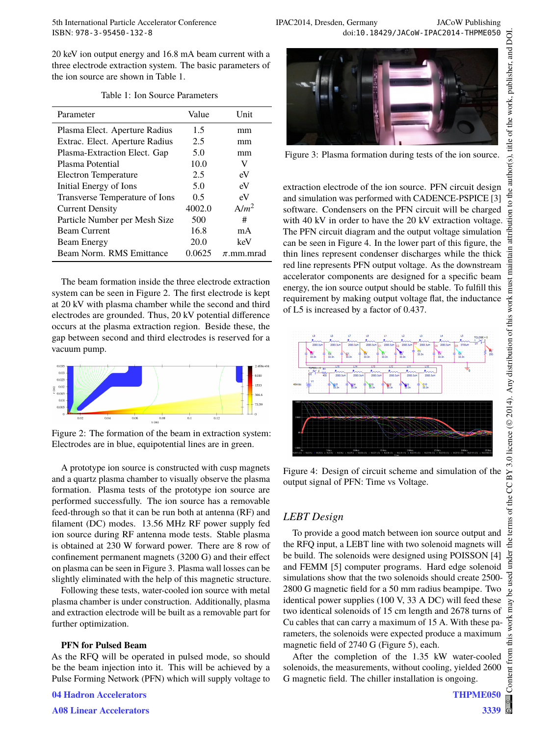5th International Particle Accelerator Conference IPAC2014, Dresden, Germany JACoW Publishing<br>ISBN: 978-3-95450-132-8 doi:10.18429/JACoW-IPAC2014-THPME050 doi:10.18429/JACoW-IPAC2014-THPME050

20 keV ion output energy and 16.8 mA beam current with a three electrode extraction system. The basic parameters of the ion source are shown in Table 1.

| Parameter                      | Value  | <b>Unit</b>    |
|--------------------------------|--------|----------------|
| Plasma Elect. Aperture Radius  | 1.5    | mm             |
| Extrac. Elect. Aperture Radius | 2.5    | mm             |
| Plasma-Extraction Elect. Gap   | 5.0    | mm             |
| Plasma Potential               | 10.0   | V              |
| Electron Temperature           | 2.5    | eV             |
| Initial Energy of Ions         | 5.0    | eV             |
| Transverse Temperature of Ions | 0.5    | eV             |
| <b>Current Density</b>         | 4002.0 | $A/m^2$        |
| Particle Number per Mesh Size  | 500    | #              |
| <b>Beam Current</b>            | 16.8   | mA             |
| Beam Energy                    | 20.0   | keV            |
| Beam Norm, RMS Emittance       | 0.0625 | $\pi$ .mm.mrad |

Table 1: Ion Source Parameters

The beam formation inside the three electrode extraction system can be seen in Figure 2. The first electrode is kept at 20 kV with plasma chamber while the second and third electrodes are grounded. Thus, 20 kV potential difference occurs at the plasma extraction region. Beside these, the gap between second and third electrodes is reserved for a vacuum pump.



Figure 2: The formation of the beam in extraction system: Electrodes are in blue, equipotential lines are in green.

A prototype ion source is constructed with cusp magnets and a quartz plasma chamber to visually observe the plasma formation. Plasma tests of the prototype ion source are performed successfully. The ion source has a removable feed-through so that it can be run both at antenna (RF) and filament (DC) modes. 13.56 MHz RF power supply fed ion source during RF antenna mode tests. Stable plasma is obtained at 230 W forward power. There are 8 row of confinement permanent magnets (3200 G) and their effect on plasma can be seen in Figure 3. Plasma wall losses can be slightly eliminated with the help of this magnetic structure.

Following these tests, water-cooled ion source with metal plasma chamber is under construction. Additionally, plasma and extraction electrode will be built as a removable part for further optimization.

#### **PFN for Pulsed Beam**

As the RFQ will be operated in pulsed mode, so should be the beam injection into it. This will be achieved by a Pulse Forming Network (PFN) which will supply voltage to

**04 Hadron Accelerators**

**A08 Linear Accelerators**



Figure 3: Plasma formation during tests of the ion source.

extraction electrode of the ion source. PFN circuit design and simulation was performed with CADENCE-PSPICE [3] software. Condensers on the PFN circuit will be charged with 40 kV in order to have the 20 kV extraction voltage. The PFN circuit diagram and the output voltage simulation can be seen in Figure 4. In the lower part of this figure, the thin lines represent condenser discharges while the thick red line represents PFN output voltage. As the downstream accelerator components are designed for a specific beam energy, the ion source output should be stable. To fulfill this requirement by making output voltage flat, the inductance of L5 is increased by a factor of 0.437.



Figure 4: Design of circuit scheme and simulation of the output signal of PFN: Time vs Voltage.

# *LEBT Design*

To provide a good match between ion source output and the RFQ input, a LEBT line with two solenoid magnets will be build. The solenoids were designed using POISSON [4] and FEMM [5] computer programs. Hard edge solenoid simulations show that the two solenoids should create 2500- 2800 G magnetic field for a 50 mm radius beampipe. Two identical power supplies (100 V, 33 A DC) will feed these two identical solenoids of 15 cm length and 2678 turns of Cu cables that can carry a maximum of 15 A. With these parameters, the solenoids were expected produce a maximum magnetic field of 2740 G (Figure 5), each.

After the completion of the 1.35 kW water-cooled solenoids, the measurements, without cooling, yielded 2600 G magnetic field. The chiller installation is ongoing.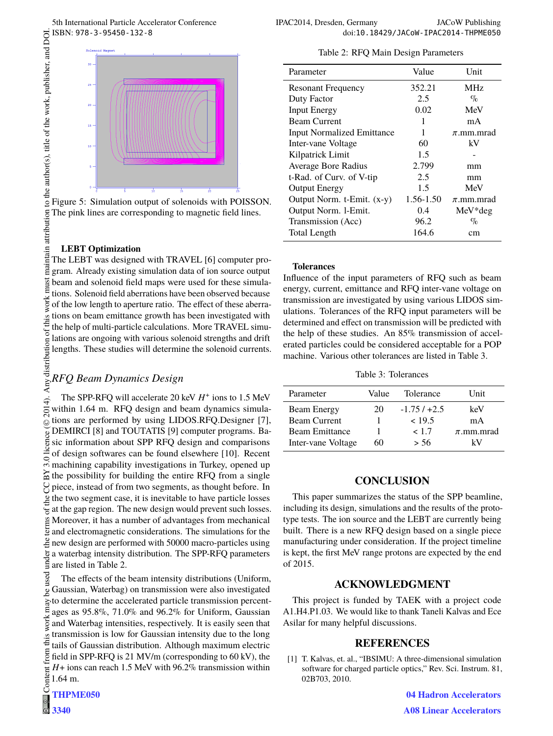

Figure 5: Simulation output of solenoids with POISSON. The pink lines are corresponding to magnetic field lines.

#### **LEBT Optimization**

to the author(s), title of the work, publisher, and DOI.

 $\overline{a}$ 

 2014). Any distribution of this work must maintain attribution to the author(s), title of the work, publisher, and DOI. maintain attribution The LEBT was designed with TRAVEL [6] computer program. Already existing simulation data of ion source output  $\frac{5}{3}$  beam and solenoid field maps were used for these simulations. Solenoid field aberrations have been observed because work of the low length to aperture ratio. The effect of these aberrations on beam emittance growth has been investigated with  $\circ$ f thi the help of multi-particle calculations. More TRAVEL simulations are ongoing with various solenoid strengths and drift lengths. These studies will determine the solenoid currents.

# Any distribution *RFQ Beam Dynamics Design*

The SPP-RFQ will accelerate 20 keV  $H^+$  ions to 1.5 MeV 2014). within 1.64 m. RFQ design and beam dynamics simulations are performed by using LIDOS.RFQ.Designer [7], ©Content from this work may be used under the terms of the CC BY 3.0 licence ( $\epsilon$ DEMIRCI [8] and TOUTATIS [9] computer programs. Balicence sic information about SPP RFQ design and comparisons of design softwares can be found elsewhere [10]. Recent  $\frac{1}{2}$  or design sortwards can be found contained.  $\approx$  the possibility for building the entire RFQ from a single piece, instead of from two segments, as thought before. In  $\mathbf{F}$  the two segment case, it is inevitable to have particle losses  $\overline{\mathcal{E}}$  at the gap region. The new design would prevent such losses. Moreover, it has a number of advantages from mechanical  $\frac{1}{2}$  and electromagnetic considerations. The simulations for the new design are performed with 50000 macro-particles using a waterbag intensity distribution. The SPP-RFQ parameters are listed in Table 2.

used The effects of the beam intensity distributions (Uniform, Gaussian, Waterbag) on transmission were also investigated ୍ଦ to determine the accelerated particle transmission percentages as 95.8%, 71.0% and 96.2% for Uniform, Gaussian work and Waterbag intensities, respectively. It is easily seen that transmission is low for Gaussian intensity due to the long<br> $\ddot{\ddot{\Xi}}$  tails of Gaussian intensity due to the long tails of Gaussian distribution. Although maximum electric morr, field in SPP-RFQ is 21 MV/m (corresponding to 60 kV), the *H*+ ions can reach 1.5 MeV with 96.2% transmission within Content 1.64 m.

Table 2: RFQ Main Design Parameters

| Parameter                         | Value     | Unit           |
|-----------------------------------|-----------|----------------|
| <b>Resonant Frequency</b>         | 352.21    | <b>MHz</b>     |
| Duty Factor                       | 2.5       | $\%$           |
| <b>Input Energy</b>               | 0.02      | MeV            |
| <b>Beam Current</b>               | 1         | mA             |
| <b>Input Normalized Emittance</b> | 1         | $\pi$ .mm.mrad |
| Inter-vane Voltage                | 60        | kV             |
| Kilpatrick Limit                  | 1.5       |                |
| Average Bore Radius               | 2.799     | mm             |
| t-Rad. of Curv. of V-tip          | 2.5       | mm             |
| <b>Output Energy</b>              | 1.5       | MeV            |
| Output Norm. t-Emit. (x-y)        | 1.56-1.50 | $\pi$ .mm.mrad |
| Output Norm. 1-Emit.              | 0.4       | $MeV^*$ deg    |
| Transmission (Acc)                | 96.2      | $\%$           |
| Total Length                      | 164.6     | cm             |

#### **Tolerances**

Influence of the input parameters of RFQ such as beam energy, current, emittance and RFQ inter-vane voltage on transmission are investigated by using various LIDOS simulations. Tolerances of the RFQ input parameters will be determined and effect on transmission will be predicted with the help of these studies. An 85% transmission of accelerated particles could be considered acceptable for a POP machine. Various other tolerances are listed in Table 3.

Table 3: Tolerances

| Parameter             | Value | Tolerance    | Unit           |
|-----------------------|-------|--------------|----------------|
| <b>Beam Energy</b>    | 20    | $-1.75/+2.5$ | keV            |
| <b>Beam Current</b>   |       | < 19.5       | mA             |
| <b>Beam Emittance</b> |       | < 1.7        | $\pi$ .mm.mrad |
| Inter-vane Voltage    | 60    | > 56         | kV             |

#### **CONCLUSION**

This paper summarizes the status of the SPP beamline, including its design, simulations and the results of the prototype tests. The ion source and the LEBT are currently being built. There is a new RFQ design based on a single piece manufacturing under consideration. If the project timeline is kept, the first MeV range protons are expected by the end of 2015.

# **ACKNOWLEDGMENT**

This project is funded by TAEK with a project code A1.H4.P1.03. We would like to thank Taneli Kalvas and Ece Asilar for many helpful discussions.

# **REFERENCES**

[1] T. Kalvas, et. al., "IBSIMU: A three-dimensional simulation software for charged particle optics," Rev. Sci. Instrum. 81, 02B703, 2010.

> **04 Hadron Accelerators A08 Linear Accelerators**